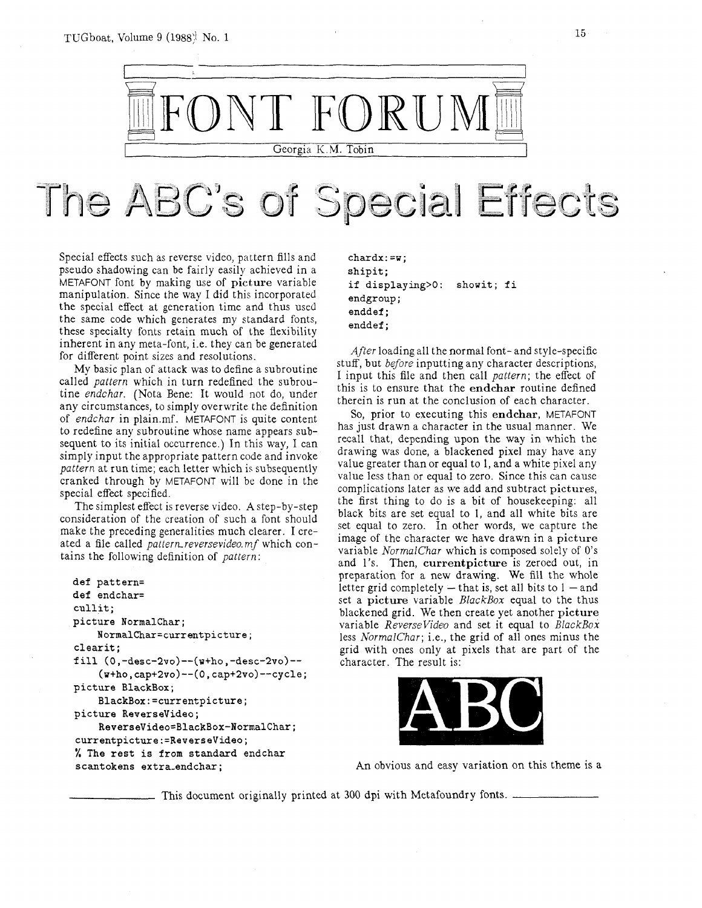TUGboat, Volume 9 (1988): No. 1



## The ABC's of Special Effects

Special effects such as reverse video, pattern fills and pseudo shadowing can be fairly easily achieved in a METAFONT font by making use of picture variable manipulation. Since the way I did this incorporated the special effect at generation time and thus used the same code which generates my standard fonts, these specialty fonts retain much of the flexibility inherent in any meta-font, i.e. they can be generated for different point sizes and resolutions.

My basic plan of attack was to define a subroutine called pattern which in turn redefined the subroutine endchar. (Nota Bene: It would not do, under any circumstances, to simply overwrite the definition of endchar in plain.mf. METAFONT is quite content to redefine any subroutine whose name appears subsequent to its initial occurrence.) In this way, I can simply input the appropriate pattern code and invoke pattern at run time; each letter which is subsequently cranked through by METAFONT will be done in the special effect specified.

The simplest effect is reverse video. Astep-by-step consideration of the creation of such a font should make the preceding generalities much clearer. I created a file called pattern reversevideo. mf which contains the following definition of pattern:

```
def pattern= 
def endchar= 
cullit ; 
picture NormalChar; 
    NormalChar=currentpicture; 
clearit; 
fill (0 ,-desc-2vo)--(w+ho , -desc-2vo)-- 
    (w+ho, cap+2vo)--(0, cap+2vo)--cycle; 
picture BlackBox; 
    BlackBox:=currentpicture; 
picture ReverseVideo; 
    ReverseVideo=BlackBox-Normalchar; 
currentpicture:=ReverseVideo; 
% The rest is from standard endchar 
scantokens extra-endchar;
```
**chardx:=w; shipit; if displaying>O: showit; f i endgroup** ; **enddef** ; **enddef** ;

After loading all the normal font- and style-specific stuff, but *before* inputting any character descriptions, I input this file and then call pattern; the effect of this is to ensure that the endchar routine defined therein is run at the conclusion of each character.

So, prior to executing this endchar, METAFONT has just drawn a character in the usual manner. We recall that, depending upon the way in which the drawing was done, a blackened pixel may have any value greater than or equal to 1, and a white pixel any value less than or equal to zero. Since this can cause complications later as we add and subtract pictures, the first thing to do is a bit of housekeeping: all black bits are set equal to 1, and all white bits are set equal to zero. In other words, we capture the image of the character we have drawn in a picture variable NormalChar which is composed solely of 0's and 1's. Then, currentpicture is zeroed out, in preparation for a new drawing. We fill the whole letter grid completely  $-$  that is, set all bits to  $1 -$  and set a picture variable BlackBox equal to the thus blackened grid. We then create yet another picture variable ReverseVideo and set it equal to BlackBox less NorrnalChar; i.e., the grid of all ones minus the grid with ones only at pixels that are part of the character. The result is:



An obvious and easy variation on this theme is a

This document originally printed at 300 dpi with Metafoundry fonts.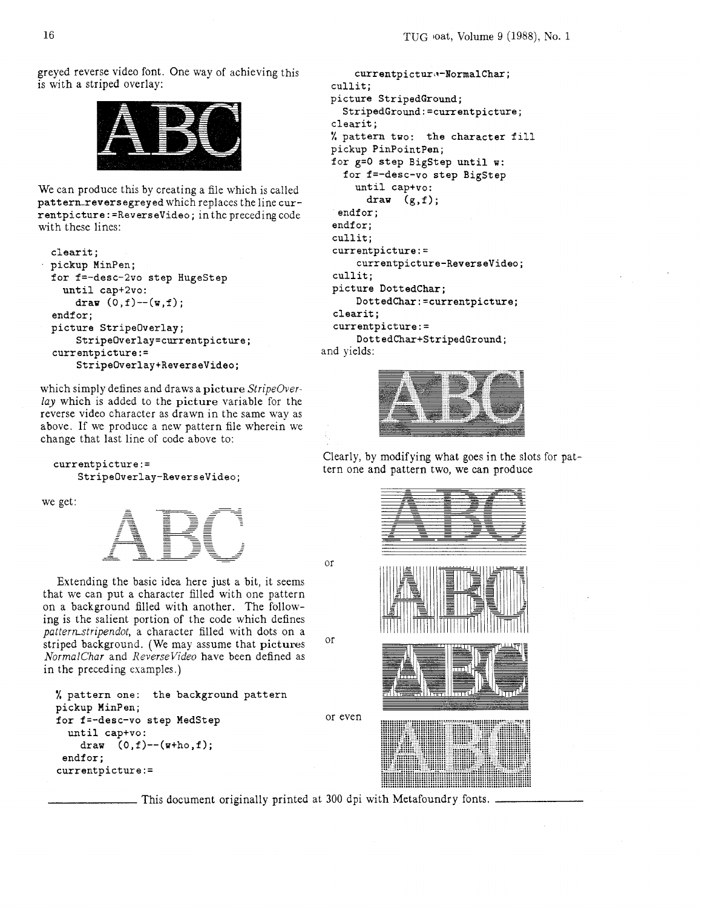greyed reverse video font. One way of achieving this is with a striped overlay:



We can produce this by creating a file which is called pattern-reversegreyed which replaces the line currentpicture : =Reversevideo ; in the preceding code with these lines:

```
clearit ; 
pickup MinPen; 
for f=-desc-2vo step HugeStep 
  until cap+2vo: 
    draw (0, f) -- (w, f);
endfor;
picture Stripeoverlay; 
    StripeOverlay=currentpicture; 
currentpicture := 
    StripeOverlay+ReverseVideo;
```
which simply defines and draws a picture *StripeOverlay* which is added to the picture variable for the reverse video character as drawn in the same way as above. If we produce a new pattern file wherein we change that last line of code above to:

```
currentpicture := 
    Stripeoverlay-Reversevideo;
```
we get:



Extending the basic idea here just a bit, it seems that we can put a character filled with one pattern on a background filled with another. The following is the salient portion of the code which defines *pattern\_stripendot, a character filled with dots on a* striped background. (We may assume that pictures *NormalChar* and *Reversevideo* have been defined as in the preceding examples.)

```
% pattern one: the background pattern 
pickup HinPen; 
for f=-desc-vo step MedStep 
  until cap+vo: 
    draw (0, f) --(\text{w+ho}, f);
 endfor;
currentpicture : =
```
This document originally printed at 300 dpi with Metafoundry fonts.

or

 $O<sub>1</sub>$ 

or even

```
currentpicture-NormalChar;
 cullit; 
 picture StripedGround; 
    StripedGround:=currentpicture; 
  clearit ; 
 % pattern two: the character fill 
 pickup PinPointPen; 
 for g=O step BigStep until w: 
    for f=-desc-vo step BigStep 
      until cap+vo: 
        draw (g,f); 
   endfor:
  endfor:
  cullit; 
  currentpicture:= 
      currentpicture-Reversevideo; 
  cullit; 
  picture DottedChar; 
      DottedChar:=currentpicture; 
  clearit ; 
  currentpicture:= 
      DottedChar+StringedGround;and yields:
```


Clearly, by modifying what goes in the slots for pattern one and pattern two, we can produce

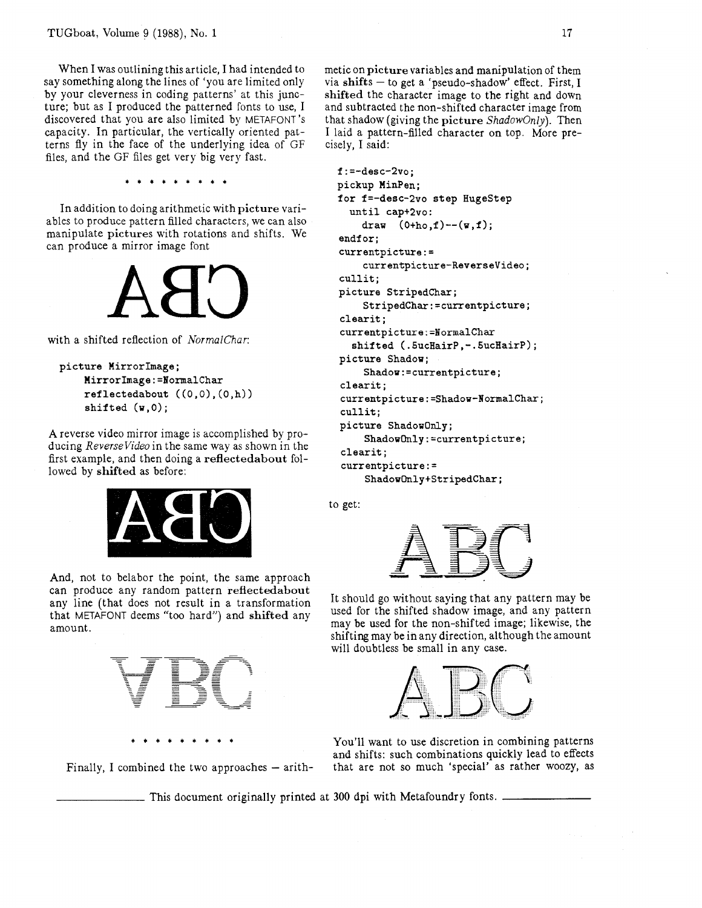When I was outlining this article, I had intended to say something along the lines of 'you are limited only by your cleverness in coding patterns' at this juncture; but as I produced the patterned fonts to use, I discovered that you are also limited by METAFONT's capacity. In particular, the vertically oriented patterns fly in the face of the underlying idea of GF files, and the GF files get very big very fast.

In addition to doing arithmetic with picture variables to produce pattern filled characters, we can also manipulate pictures with rotations and shifts. We can produce a mirror image font



with a shifted reflection of NormalChar:

```
picture Mirrorhiage; 
    MirrorIrnage:=NormalChar 
     ref lectedabout ((0,O) , (0 ,h)) 
     shifted (u , 0) ;
```
A reverse video mirror image is accomplished by producing ReverseVideo in the same way as shown in the first example, and then doing a reflectedabout followed by shifted as before:



And, not to belabor the point, the same approach can produce any random pattern reflectedabout any line (that does not result in a transformation that METAFONT deems "too hard") and shifted any amount.



\*\*\*\*\*\*\*\*\*

Finally, I combined the two approaches  $-$  arith-

metic on picture variables and manipulation of them via shifts  $-$  to get a 'pseudo-shadow' effect. First, I shifted the character image to the right and down and subtracted the non-shifted character image from that shadow (giving the picture ShadowOnly). Then I laid a pattern-filled character on top. More precisely, I said:

```
f: =-desc-2vo; 
pickup MinPen; 
for f=-desc-2vo step HugeStep 
  until capt2vo : 
    draw (Otho,f)--(w,f); 
endf or; 
currentpicture : =
    currentpicture-Reversevideo; 
cull it ; 
picture StripedChar; 
    StripedChar:=currentpicture; 
clearit; 
currentpicture :=NormalChar
  shifted ( .5ucHairP , - .5ucHairP) ; 
picture Shadow; 
    Shadow:=currentpicture; 
clearit ; 
currentpicture:=Shadow-Normalchar; 
cullit; 
picture ShadowOnly; 
     ShadowOnly:=currentpicture; 
clearit; 
currentpicture:= 
     ShadowOnly+StripedChar;
```
to get:



It should go without saying that any pattern may be used for the shifted shadow image, and any pattern may be used for the non-shifted image; likewise, the shifting may be in any direction, although the amount will doubtless be small in any case.



You'll want to use discretion in combining patterns and shifts: such combinations quickly lead to effects that are not so much 'special' as rather woozy, as

This document originally printed at 300 dpi with Metafoundry fonts.